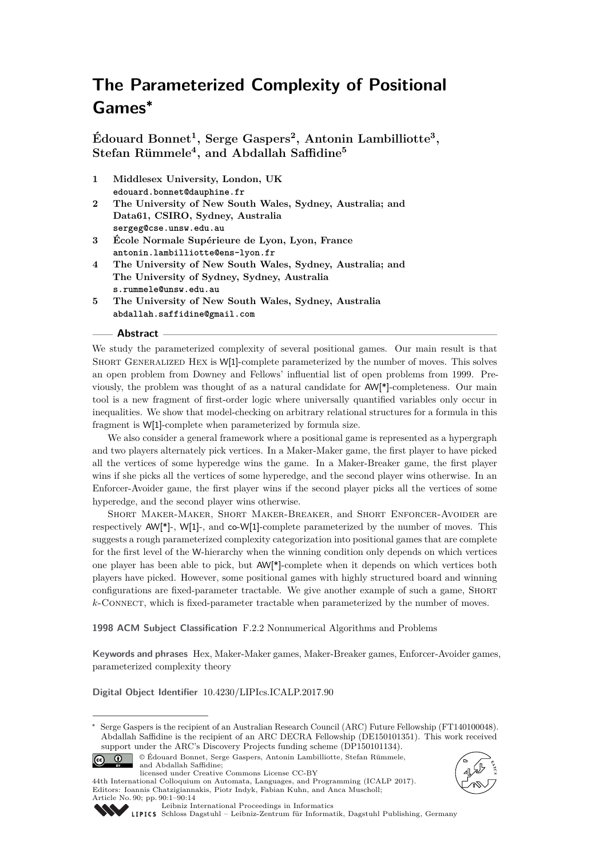# **The Parameterized Complexity of Positional Games<sup>∗</sup>**

**Édouard Bonnet<sup>1</sup> , Serge Gaspers<sup>2</sup> , Antonin Lambilliotte<sup>3</sup> , Stefan Rümmele<sup>4</sup> , and Abdallah Saffidine<sup>5</sup>**

- **1 Middlesex University, London, UK edouard.bonnet@dauphine.fr**
- **2 The University of New South Wales, Sydney, Australia; and Data61, CSIRO, Sydney, Australia sergeg@cse.unsw.edu.au**
- **3 École Normale Supérieure de Lyon, Lyon, France antonin.lambilliotte@ens-lyon.fr**
- **4 The University of New South Wales, Sydney, Australia; and The University of Sydney, Sydney, Australia s.rummele@unsw.edu.au**
- **5 The University of New South Wales, Sydney, Australia abdallah.saffidine@gmail.com**

## **Abstract**

We study the parameterized complexity of several positional games. Our main result is that SHORT GENERALIZED HEX is W[1]-complete parameterized by the number of moves. This solves an open problem from Downey and Fellows' influential list of open problems from 1999. Previously, the problem was thought of as a natural candidate for AW[\*]-completeness. Our main tool is a new fragment of first-order logic where universally quantified variables only occur in inequalities. We show that model-checking on arbitrary relational structures for a formula in this fragment is W[1]-complete when parameterized by formula size.

We also consider a general framework where a positional game is represented as a hypergraph and two players alternately pick vertices. In a Maker-Maker game, the first player to have picked all the vertices of some hyperedge wins the game. In a Maker-Breaker game, the first player wins if she picks all the vertices of some hyperedge, and the second player wins otherwise. In an Enforcer-Avoider game, the first player wins if the second player picks all the vertices of some hyperedge, and the second player wins otherwise.

Short Maker-Maker, Short Maker-Breaker, and Short Enforcer-Avoider are respectively AW[\*]-, W[1]-, and co-W[1]-complete parameterized by the number of moves. This suggests a rough parameterized complexity categorization into positional games that are complete for the first level of the W-hierarchy when the winning condition only depends on which vertices one player has been able to pick, but AW[\*]-complete when it depends on which vertices both players have picked. However, some positional games with highly structured board and winning configurations are fixed-parameter tractable. We give another example of such a game, SHORT *k*-Connect, which is fixed-parameter tractable when parameterized by the number of moves.

**1998 ACM Subject Classification** F.2.2 Nonnumerical Algorithms and Problems

**Keywords and phrases** Hex, Maker-Maker games, Maker-Breaker games, Enforcer-Avoider games, parameterized complexity theory

**Digital Object Identifier** [10.4230/LIPIcs.ICALP.2017.90](http://dx.doi.org/10.4230/LIPIcs.ICALP.2017.90)

<sup>∗</sup> Serge Gaspers is the recipient of an Australian Research Council (ARC) Future Fellowship (FT140100048). Abdallah Saffidine is the recipient of an ARC DECRA Fellowship (DE150101351). This work received support under the ARC's Discovery Projects funding scheme (DP150101134).



44th International Colloquium on Automata, Languages, and Programming (ICALP 2017). Editors: Ioannis Chatzigiannakis, Piotr Indyk, Fabian Kuhn, and Anca Muscholl; Article No. 90; pp. 90:1–90[:14](#page-13-0)





 $\left[ 6c\right]$ 

[Schloss Dagstuhl – Leibniz-Zentrum für Informatik, Dagstuhl Publishing, Germany](http://www.dagstuhl.de)

[Leibniz International Proceedings in Informatics](http://www.dagstuhl.de/lipics/)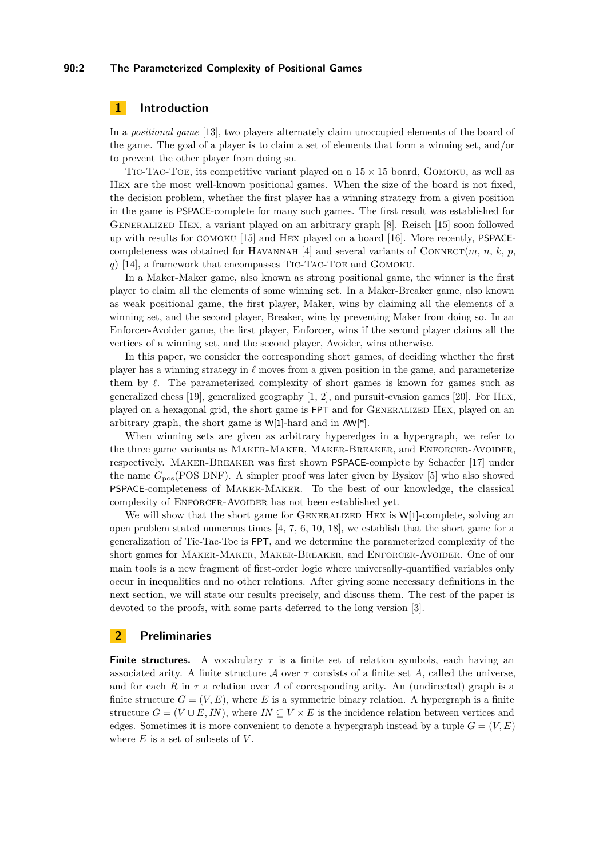### **90:2 The Parameterized Complexity of Positional Games**

# **1 Introduction**

In a *positional game* [\[13\]](#page-12-0), two players alternately claim unoccupied elements of the board of the game. The goal of a player is to claim a set of elements that form a winning set, and/or to prevent the other player from doing so.

TIC-TAC-TOE, its competitive variant played on a  $15 \times 15$  board, GOMOKU, as well as Hex are the most well-known positional games. When the size of the board is not fixed, the decision problem, whether the first player has a winning strategy from a given position in the game is PSPACE-complete for many such games. The first result was established for GENERALIZED HEX, a variant played on an arbitrary graph [\[8\]](#page-12-1). Reisch [\[15\]](#page-12-2) soon followed up with results for gomoku [\[15\]](#page-12-2) and Hex played on a board [\[16\]](#page-12-3). More recently, PSPACE-completeness was obtained for HAVANNAH [\[4\]](#page-12-4) and several variants of CONNECT $(m, n, k, p, k)$ *q*) [\[14\]](#page-12-5), a framework that encompasses Tic-Tac-Toe and Gomoku.

In a Maker-Maker game, also known as strong positional game, the winner is the first player to claim all the elements of some winning set. In a Maker-Breaker game, also known as weak positional game, the first player, Maker, wins by claiming all the elements of a winning set, and the second player, Breaker, wins by preventing Maker from doing so. In an Enforcer-Avoider game, the first player, Enforcer, wins if the second player claims all the vertices of a winning set, and the second player, Avoider, wins otherwise.

In this paper, we consider the corresponding short games, of deciding whether the first player has a winning strategy in  $\ell$  moves from a given position in the game, and parameterize them by  $\ell$ . The parameterized complexity of short games is known for games such as generalized chess [\[19\]](#page-13-1), generalized geography [\[1,](#page-12-6) [2\]](#page-12-7), and pursuit-evasion games [\[20\]](#page-13-2). For Hex, played on a hexagonal grid, the short game is FPT and for Generalized Hex, played on an arbitrary graph, the short game is W[1]-hard and in AW[\*].

When winning sets are given as arbitrary hyperedges in a hypergraph, we refer to the three game variants as Maker-Maker, Maker-Breaker, and Enforcer-Avoider, respectively. Maker-Breaker was first shown PSPACE-complete by Schaefer [\[17\]](#page-12-8) under the name *G*pos(POS DNF). A simpler proof was later given by Byskov [\[5\]](#page-12-9) who also showed PSPACE-completeness of Maker-Maker. To the best of our knowledge, the classical complexity of ENFORCER-AVOIDER has not been established yet.

We will show that the short game for GENERALIZED HEX is W[1]-complete, solving an open problem stated numerous times [\[4,](#page-12-4) [7,](#page-12-10) [6,](#page-12-11) [10,](#page-12-12) [18\]](#page-12-13), we establish that the short game for a generalization of Tic-Tac-Toe is FPT, and we determine the parameterized complexity of the short games for Maker-Maker, Maker-Breaker, and Enforcer-Avoider. One of our main tools is a new fragment of first-order logic where universally-quantified variables only occur in inequalities and no other relations. After giving some necessary definitions in the next section, we will state our results precisely, and discuss them. The rest of the paper is devoted to the proofs, with some parts deferred to the long version [\[3\]](#page-12-14).

## **2 Preliminaries**

**Finite structures.** A vocabulary  $\tau$  is a finite set of relation symbols, each having an associated arity. A finite structure  $\mathcal A$  over  $\tau$  consists of a finite set A, called the universe, and for each  $R$  in  $\tau$  a relation over  $A$  of corresponding arity. An (undirected) graph is a finite structure  $G = (V, E)$ , where E is a symmetric binary relation. A hypergraph is a finite structure  $G = (V \cup E, IN)$ , where  $IN \subseteq V \times E$  is the incidence relation between vertices and edges. Sometimes it is more convenient to denote a hypergraph instead by a tuple  $G = (V, E)$ where *E* is a set of subsets of *V* .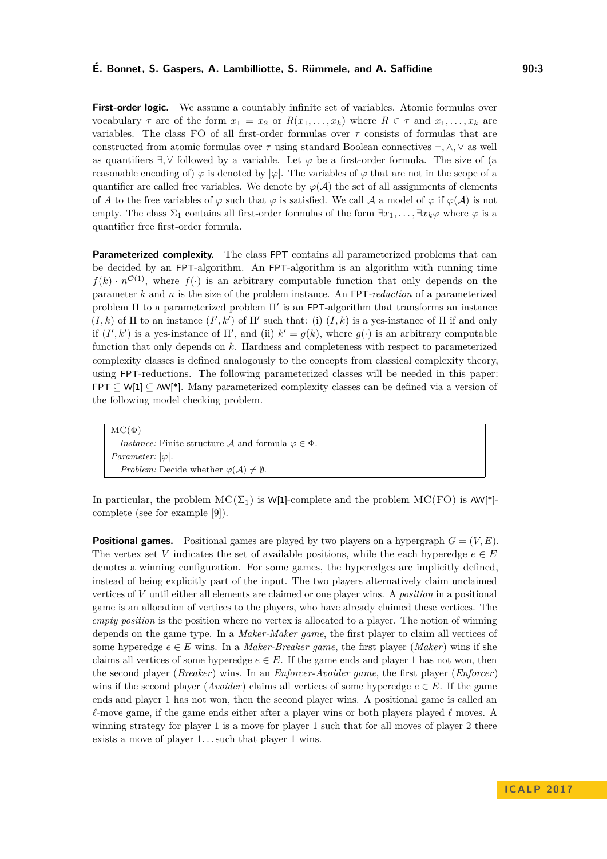## **É. Bonnet, S. Gaspers, A. Lambilliotte, S. Rümmele, and A. Saffidine 90:3**

**First-order logic.** We assume a countably infinite set of variables. Atomic formulas over vocabulary  $\tau$  are of the form  $x_1 = x_2$  or  $R(x_1, \ldots, x_k)$  where  $R \in \tau$  and  $x_1, \ldots, x_k$  are variables. The class FO of all first-order formulas over *τ* consists of formulas that are constructed from atomic formulas over *τ* using standard Boolean connectives ¬*,* ∧*,* ∨ as well as quantifiers ∃*,* ∀ followed by a variable. Let *ϕ* be a first-order formula. The size of (a reasonable encoding of)  $\varphi$  is denoted by  $|\varphi|$ . The variables of  $\varphi$  that are not in the scope of a quantifier are called free variables. We denote by  $\varphi(\mathcal{A})$  the set of all assignments of elements of *A* to the free variables of  $\varphi$  such that  $\varphi$  is satisfied. We call *A* a model of  $\varphi$  if  $\varphi(\mathcal{A})$  is not empty. The class  $\Sigma_1$  contains all first-order formulas of the form  $\exists x_1, \ldots, \exists x_k \varphi$  where  $\varphi$  is a quantifier free first-order formula.

**Parameterized complexity.** The class FPT contains all parameterized problems that can be decided by an FPT-algorithm. An FPT-algorithm is an algorithm with running time  $f(k) \cdot n^{\mathcal{O}(1)}$ , where  $f(\cdot)$  is an arbitrary computable function that only depends on the parameter *k* and *n* is the size of the problem instance. An FPT*-reduction* of a parameterized problem  $\Pi$  to a parameterized problem  $\Pi'$  is an FPT-algorithm that transforms an instance  $(I, k)$  of  $\Pi$  to an instance  $(I', k')$  of  $\Pi'$  such that: (i)  $(I, k)$  is a yes-instance of  $\Pi$  if and only if  $(I', k')$  is a yes-instance of  $\Pi'$ , and (ii)  $k' = g(k)$ , where  $g(\cdot)$  is an arbitrary computable function that only depends on *k*. Hardness and completeness with respect to parameterized complexity classes is defined analogously to the concepts from classical complexity theory, using FPT-reductions. The following parameterized classes will be needed in this paper: FPT  $\subseteq$  W[1]  $\subseteq$  AW[\*]. Many parameterized complexity classes can be defined via a version of the following model checking problem.

 $\overline{\mathrm{MC}(\Phi)}$ *Instance:* Finite structure A and formula  $\varphi \in \Phi$ . *Parameter:* |*ϕ*|. *Problem:* Decide whether  $\varphi(A) \neq \emptyset$ .

In particular, the problem  $MC(\Sigma_1)$  is W[1]-complete and the problem  $MC(FO)$  is AW[\*]complete (see for example [\[9\]](#page-12-15)).

**Positional games.** Positional games are played by two players on a hypergraph  $G = (V, E)$ . The vertex set *V* indicates the set of available positions, while the each hyperedge  $e \in E$ denotes a winning configuration. For some games, the hyperedges are implicitly defined, instead of being explicitly part of the input. The two players alternatively claim unclaimed vertices of *V* until either all elements are claimed or one player wins. A *position* in a positional game is an allocation of vertices to the players, who have already claimed these vertices. The *empty position* is the position where no vertex is allocated to a player. The notion of winning depends on the game type. In a *Maker-Maker game*, the first player to claim all vertices of some hyperedge  $e \in E$  wins. In a *Maker-Breaker game*, the first player (*Maker*) wins if she claims all vertices of some hyperedge  $e \in E$ . If the game ends and player 1 has not won, then the second player (*Breaker*) wins. In an *Enforcer-Avoider game*, the first player (*Enforcer*) wins if the second player (*Avoider*) claims all vertices of some hyperedge  $e \in E$ . If the game ends and player 1 has not won, then the second player wins. A positional game is called an  $\ell$ -move game, if the game ends either after a player wins or both players played  $\ell$  moves. A winning strategy for player 1 is a move for player 1 such that for all moves of player 2 there exists a move of player 1...such that player 1 wins.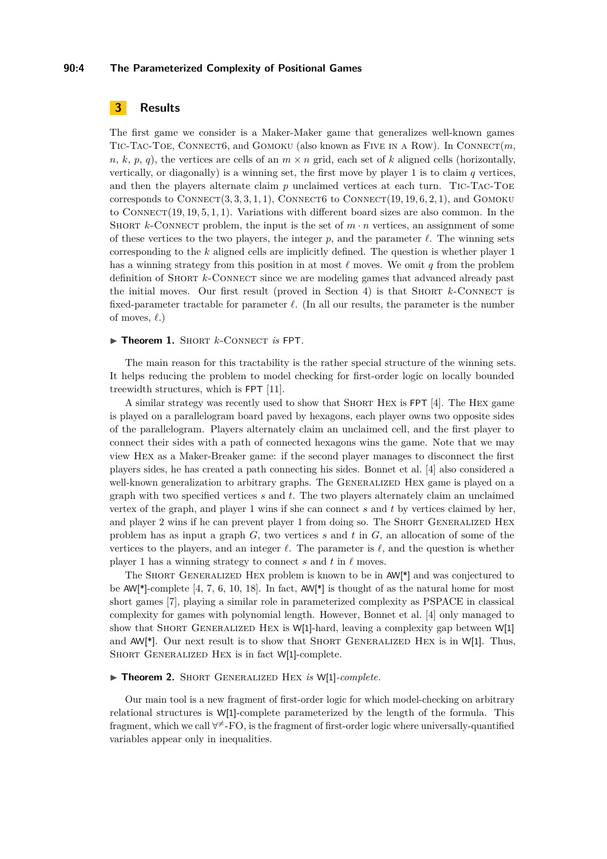## **90:4 The Parameterized Complexity of Positional Games**

# **3 Results**

The first game we consider is a Maker-Maker game that generalizes well-known games Tic-Tac-Toe, Connect6, and Gomoku (also known as Five in a Row). In Connect(*m*,  $n, k, p, q$ , the vertices are cells of an  $m \times n$  grid, each set of *k* aligned cells (horizontally, vertically, or diagonally) is a winning set, the first move by player 1 is to claim *q* vertices, and then the players alternate claim *p* unclaimed vertices at each turn. Tic-Tac-Toe corresponds to  $COMNET(3, 3, 3, 1, 1)$ ,  $COMMET6$  to  $CONNET(19, 19, 6, 2, 1)$ , and  $GOMOKU$ to CONNECT(19, 19, 5, 1, 1). Variations with different board sizes are also common. In the SHORT *k*-CONNECT problem, the input is the set of  $m \cdot n$  vertices, an assignment of some of these vertices to the two players, the integer  $p$ , and the parameter  $\ell$ . The winning sets corresponding to the *k* aligned cells are implicitly defined. The question is whether player 1 has a winning strategy from this position in at most  $\ell$  moves. We omit *q* from the problem definition of SHORT *k*-CONNECT since we are modeling games that advanced already past the initial moves. Our first result (proved in Section [4\)](#page-4-0) is that SHORT  $k$ -CONNECT is fixed-parameter tractable for parameter  $\ell$ . (In all our results, the parameter is the number of moves,  $\ell$ .)

#### ▶ Theorem 1. SHORT *k*-CONNECT *is* FPT.

The main reason for this tractability is the rather special structure of the winning sets. It helps reducing the problem to model checking for first-order logic on locally bounded treewidth structures, which is FPT [\[11\]](#page-12-16).

A similar strategy was recently used to show that Short Hex is FPT [\[4\]](#page-12-4). The Hex game is played on a parallelogram board paved by hexagons, each player owns two opposite sides of the parallelogram. Players alternately claim an unclaimed cell, and the first player to connect their sides with a path of connected hexagons wins the game. Note that we may view Hex as a Maker-Breaker game: if the second player manages to disconnect the first players sides, he has created a path connecting his sides. Bonnet et al. [\[4\]](#page-12-4) also considered a well-known generalization to arbitrary graphs. The GENERALIZED HEX game is played on a graph with two specified vertices *s* and *t*. The two players alternately claim an unclaimed vertex of the graph, and player 1 wins if she can connect *s* and *t* by vertices claimed by her, and player 2 wins if he can prevent player 1 from doing so. The SHORT GENERALIZED HEX problem has as input a graph *G*, two vertices *s* and *t* in *G*, an allocation of some of the vertices to the players, and an integer  $\ell$ . The parameter is  $\ell$ , and the question is whether player 1 has a winning strategy to connect  $s$  and  $t$  in  $\ell$  moves.

The Short Generalized Hex problem is known to be in AW[\*] and was conjectured to be AW[\*]-complete [\[4,](#page-12-4) [7,](#page-12-10) [6,](#page-12-11) [10,](#page-12-12) [18\]](#page-12-13). In fact, AW[\*] is thought of as the natural home for most short games [\[7\]](#page-12-10), playing a similar role in parameterized complexity as PSPACE in classical complexity for games with polynomial length. However, Bonnet et al. [\[4\]](#page-12-4) only managed to show that SHORT GENERALIZED HEX is W[1]-hard, leaving a complexity gap between W[1] and  $AW[*]$ . Our next result is to show that SHORT GENERALIZED HEX is in W[1]. Thus, SHORT GENERALIZED HEX is in fact W[1]-complete.

## <span id="page-3-0"></span>▶ Theorem 2. SHORT GENERALIZED HEX *is* W[1]-*complete.*

Our main tool is a new fragment of first-order logic for which model-checking on arbitrary relational structures is W[1]-complete parameterized by the length of the formula. This fragment, which we call  $\forall^{\neq}$ -FO, is the fragment of first-order logic where universally-quantified variables appear only in inequalities.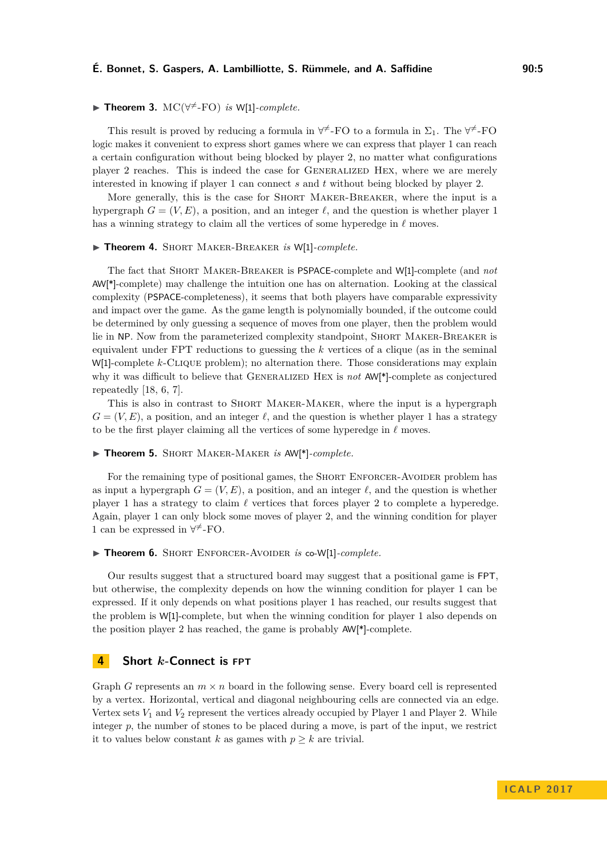## **É. Bonnet, S. Gaspers, A. Lambilliotte, S. Rümmele, and A. Saffidine 90:5**

# ▶ Theorem 3.  $MC(\forall^{\neq}$ -FO) *is* W[1]-*complete.*

This result is proved by reducing a formula in  $\forall^{\neq}$ -FO to a formula in  $\Sigma_1$ . The  $\forall^{\neq}$ -FO logic makes it convenient to express short games where we can express that player 1 can reach a certain configuration without being blocked by player 2, no matter what configurations player 2 reaches. This is indeed the case for Generalized Hex, where we are merely interested in knowing if player 1 can connect *s* and *t* without being blocked by player 2.

More generally, this is the case for Short Maker-Breaker, where the input is a hypergraph  $G = (V, E)$ , a position, and an integer  $\ell$ , and the question is whether player 1 has a winning strategy to claim all the vertices of some hyperedge in  $\ell$  moves.

#### I **Theorem 4.** Short Maker-Breaker *is* W[1]*-complete.*

The fact that Short Maker-Breaker is PSPACE-complete and W[1]-complete (and *not* AW[\*]-complete) may challenge the intuition one has on alternation. Looking at the classical complexity (PSPACE-completeness), it seems that both players have comparable expressivity and impact over the game. As the game length is polynomially bounded, if the outcome could be determined by only guessing a sequence of moves from one player, then the problem would lie in NP. Now from the parameterized complexity standpoint, Short Maker-Breaker is equivalent under FPT reductions to guessing the *k* vertices of a clique (as in the seminal W[1]-complete *k*-Clique problem); no alternation there. Those considerations may explain why it was difficult to believe that GENERALIZED HEX is *not* AW<sup>[\*</sup>]-complete as conjectured repeatedly [\[18,](#page-12-13) [6,](#page-12-11) [7\]](#page-12-10).

This is also in contrast to Short Maker-Maker, where the input is a hypergraph  $G = (V, E)$ , a position, and an integer  $\ell$ , and the question is whether player 1 has a strategy to be the first player claiming all the vertices of some hyperedge in  $\ell$  moves.

#### I **Theorem 5.** Short Maker-Maker *is* AW[\*]*-complete.*

For the remaining type of positional games, the SHORT ENFORCER-AVOIDER problem has as input a hypergraph  $G = (V, E)$ , a position, and an integer  $\ell$ , and the question is whether player 1 has a strategy to claim  $\ell$  vertices that forces player 2 to complete a hyperedge. Again, player 1 can only block some moves of player 2, and the winning condition for player 1 can be expressed in  $\forall^{\neq}$ -FO.

#### ▶ Theorem 6. SHORT ENFORCER-AVOIDER *is* co-W[1]-*complete.*

Our results suggest that a structured board may suggest that a positional game is FPT, but otherwise, the complexity depends on how the winning condition for player 1 can be expressed. If it only depends on what positions player 1 has reached, our results suggest that the problem is W[1]-complete, but when the winning condition for player 1 also depends on the position player 2 has reached, the game is probably AW[\*]-complete.

## <span id="page-4-0"></span>**4 Short** *k***-Connect is FPT**

Graph *G* represents an  $m \times n$  board in the following sense. Every board cell is represented by a vertex. Horizontal, vertical and diagonal neighbouring cells are connected via an edge. Vertex sets  $V_1$  and  $V_2$  represent the vertices already occupied by Player 1 and Player 2. While integer *p*, the number of stones to be placed during a move, is part of the input, we restrict it to values below constant *k* as games with  $p \geq k$  are trivial.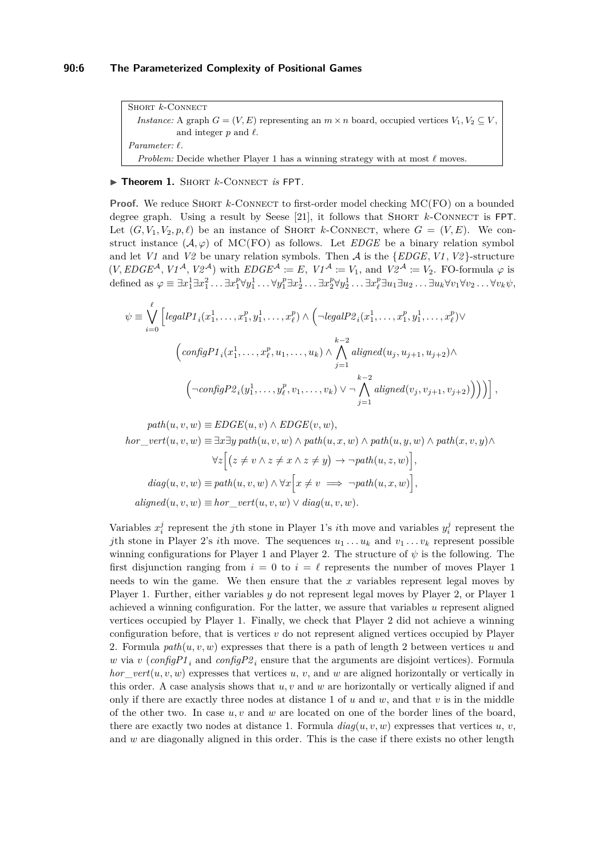Short *k*-Connect *Instance:* A graph  $G = (V, E)$  representing an  $m \times n$  board, occupied vertices  $V_1, V_2 \subseteq V$ , and integer  $p$  and  $\ell$ . *Parameter: `*. *Problem:* Decide whether Player 1 has a winning strategy with at most  $\ell$  moves.

#### ▶ Theorem 1. SHORT *k*-CONNECT *is* FPT.

**Proof.** We reduce SHORT *k*-CONNECT to first-order model checking MC(FO) on a bounded degree graph. Using a result by Seese [\[21\]](#page-13-3), it follows that Short *k*-Connect is FPT. Let  $(G, V_1, V_2, p, \ell)$  be an instance of SHORT *k*-CONNECT, where  $G = (V, E)$ . We construct instance  $(\mathcal{A}, \varphi)$  of MC(FO) as follows. Let *EDGE* be a binary relation symbol and let *V1* and *V2* be unary relation symbols. Then  $A$  is the  $\{EDGE, V1, V2\}$ -structure  $(V, EDGE^{\mathcal{A}}, V1^{\mathcal{A}}, V2^{\mathcal{A}})$  with  $EDGE^{\mathcal{A}} := E$ ,  $VI^{\mathcal{A}} := V_1$ , and  $V2^{\mathcal{A}} := V_2$ . FO-formula  $\varphi$  is defined as  $\varphi \equiv \exists x_1^1 \exists x_1^2 \ldots \exists x_1^p \forall y_1^1 \ldots \forall y_1^p \exists x_2^1 \ldots \exists x_2^p \forall y_2^1 \ldots \exists x_\ell^p \exists u_1 \exists u_2 \ldots \exists u_k \forall v_1 \forall v_2 \ldots \forall v_k \psi$ ,

$$
\psi \equiv \bigvee_{i=0}^{\ell} \left[ \text{legalP1}_i(x_1^1, \ldots, x_1^p, y_1^1, \ldots, x_{\ell}^p) \land \left( \neg \text{legalP2}_i(x_1^1, \ldots, x_1^p, y_1^1, \ldots, x_{\ell}^p) \lor \right. \\
\left. \left( \text{configP1}_i(x_1^1, \ldots, x_{\ell}^p, u_1, \ldots, u_k) \land \bigwedge_{j=1}^{k-2} \text{aligned}(u_j, u_{j+1}, u_{j+2}) \land \right. \\
\left. \left( \neg \text{configP2}_i(y_1^1, \ldots, y_{\ell}^p, v_1, \ldots, v_k) \lor \neg \bigwedge_{j=1}^{k-2} \text{aligned}(v_j, v_{j+1}, v_{j+2}) \right) \right) \right],
$$

 $path(u, v, w) \equiv EDGE(u, v) \wedge EDGE(v, w)$ *hor*\_*vert*(*u, v, w*) ≡ ∃*x*∃*y path*(*u, v, w*) ∧ *path*(*u, x, w*) ∧ *path*(*u, y, w*) ∧ *path*(*x, v, y*)∧  $\forall z \big[ (z \neq v \land z \neq x \land z \neq y) \rightarrow \neg path(u, z, w) \big],$  $diag(u, v, w) \equiv path(u, v, w) \land \forall x \big[x \neq v \implies \neg path(u, x, w)\big],$  $aligned} (u, v, w) \equiv hor \quad vert(u, v, w) \vee diag(u, v, w).$ 

Variables  $x_i^j$  represent the *j*th stone in Player 1's *i*th move and variables  $y_i^j$  represent the *j*th stone in Player 2's *i*th move. The sequences  $u_1 \ldots u_k$  and  $v_1 \ldots v_k$  represent possible winning configurations for Player 1 and Player 2. The structure of  $\psi$  is the following. The first disjunction ranging from  $i = 0$  to  $i = \ell$  represents the number of moves Player 1 needs to win the game. We then ensure that the *x* variables represent legal moves by Player 1. Further, either variables *y* do not represent legal moves by Player 2, or Player 1 achieved a winning configuration. For the latter, we assure that variables *u* represent aligned vertices occupied by Player 1. Finally, we check that Player 2 did not achieve a winning configuration before, that is vertices *v* do not represent aligned vertices occupied by Player 2. Formula  $path(u, v, w)$  expresses that there is a path of length 2 between vertices *u* and *w* via *v* (*configP1*<sup>*i*</sup> and *configP2*<sup>*i*</sup><sup></sup> ensure that the arguments are disjoint vertices). Formula *hor*\_*vert*(*u, v, w*) expresses that vertices *u*, *v*, and *w* are aligned horizontally or vertically in this order. A case analysis shows that *u, v* and *w* are horizontally or vertically aligned if and only if there are exactly three nodes at distance 1 of *u* and *w*, and that *v* is in the middle of the other two. In case *u, v* and *w* are located on one of the border lines of the board, there are exactly two nodes at distance 1. Formula  $diag(u, v, w)$  expresses that vertices  $u, v$ , and w are diagonally aligned in this order. This is the case if there exists no other length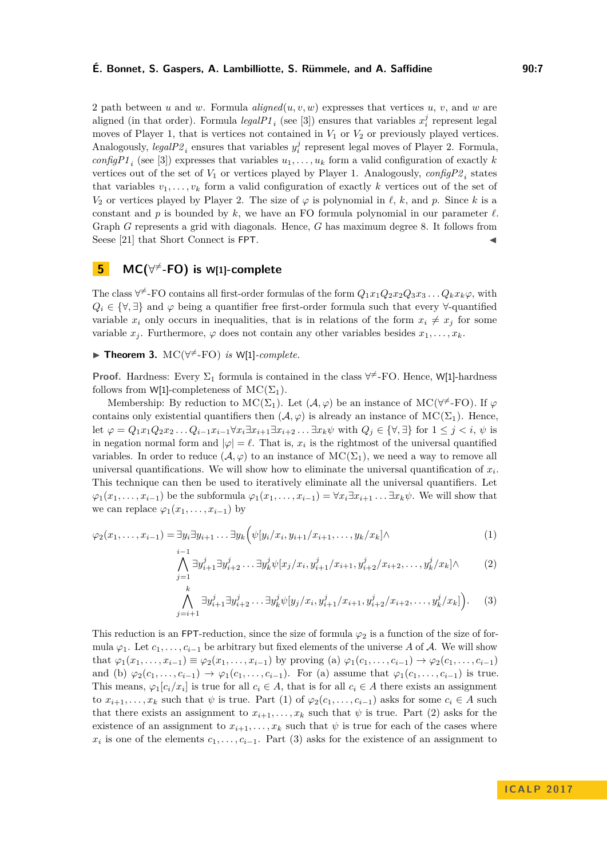## **É. Bonnet, S. Gaspers, A. Lambilliotte, S. Rümmele, and A. Saffidine 90:7**

2 path between *u* and *w*. Formula *aligned*(*u, v, w*) expresses that vertices *u*, *v*, and *w* are aligned (in that order). Formula  $legalPI_i$  (see [\[3\]](#page-12-14)) ensures that variables  $x_i^j$  represent legal moves of Player 1, that is vertices not contained in *V*<sup>1</sup> or *V*<sup>2</sup> or previously played vertices. Analogously,  $\text{legalP2}_i$  ensures that variables  $y_i^j$  represent legal moves of Player 2. Formula, *configP1*<sup>*i*</sup> (see [\[3\]](#page-12-14)) expresses that variables  $u_1, \ldots, u_k$  form a valid configuration of exactly *k* vertices out of the set of  $V_1$  or vertices played by Player 1. Analogously,  $\text{configP2}_i$  states that variables  $v_1, \ldots, v_k$  form a valid configuration of exactly k vertices out of the set of *V*<sub>2</sub> or vertices played by Player 2. The size of  $\varphi$  is polynomial in  $\ell$ ,  $k$ , and  $p$ . Since  $k$  is a constant and  $p$  is bounded by  $k$ , we have an FO formula polynomial in our parameter  $\ell$ . Graph *G* represents a grid with diagonals. Hence, *G* has maximum degree 8. It follows from Seese [\[21\]](#page-13-3) that Short Connect is FPT.

# **5 MC(**∀ <sup>6</sup><sup>=</sup>**-FO) is W[1]-complete**

The class  $\forall^{\neq}$ -FO contains all first-order formulas of the form  $Q_1x_1Q_2x_2Q_3x_3 \ldots Q_kx_k\varphi$ , with  $Q_i \in \{\forall,\exists\}$  and  $\varphi$  being a quantifier free first-order formula such that every  $\forall$ -quantified variable  $x_i$  only occurs in inequalities, that is in relations of the form  $x_i \neq x_j$  for some variable  $x_j$ . Furthermore,  $\varphi$  does not contain any other variables besides  $x_1, \ldots, x_k$ .

▶ Theorem 3.  $MC(\forall^{\neq}$ -FO) *is* W[1]-*complete.* 

**Proof.** Hardness: Every  $\Sigma_1$  formula is contained in the class  $\forall^{\neq}$ -FO. Hence, W[1]-hardness follows from W[1]-completeness of  $MC(\Sigma_1)$ .

Membership: By reduction to  $MC(\Sigma_1)$ . Let  $(\mathcal{A}, \varphi)$  be an instance of  $MC(\forall^{\neq}$ -FO). If  $\varphi$ contains only existential quantifiers then  $(\mathcal{A}, \varphi)$  is already an instance of MC( $\Sigma_1$ ). Hence, let  $\varphi = Q_1 x_1 Q_2 x_2 \dots Q_{i-1} x_{i-1} \forall x_i \exists x_{i+1} \exists x_{i+2} \dots \exists x_k \psi$  with  $Q_i \in {\forall, \exists}$  for  $1 \leq j \leq i, \psi$  is in negation normal form and  $|\varphi| = \ell$ . That is,  $x_i$  is the rightmost of the universal quantified variables. In order to reduce  $(\mathcal{A}, \varphi)$  to an instance of  $MC(\Sigma_1)$ , we need a way to remove all universal quantifications. We will show how to eliminate the universal quantification of  $x_i$ . This technique can then be used to iteratively eliminate all the universal quantifiers. Let  $\varphi_1(x_1, \ldots, x_{i-1})$  be the subformula  $\varphi_1(x_1, \ldots, x_{i-1}) = \forall x_i \exists x_{i+1} \ldots \exists x_k \psi$ . We will show that we can replace  $\varphi_1(x_1, \ldots, x_{i-1})$  by

$$
\varphi_2(x_1,\ldots,x_{i-1}) = \exists y_i \exists y_{i+1}\ldots\exists y_k \Big( \psi[y_i/x_i,y_{i+1}/x_{i+1},\ldots,y_k/x_k] \wedge \tag{1}
$$

$$
\bigwedge_{j=1}^{i-1} \exists y_{i+1}^j \exists y_{i+2}^j \dots \exists y_k^j \psi[x_j/x_i, y_{i+1}^j/x_{i+1}, y_{i+2}^j/x_{i+2}, \dots, y_k^j/x_k] \wedge \tag{2}
$$

$$
\bigwedge_{j=i+1}^{k} \exists y_{i+1}^{j} \exists y_{i+2}^{j} \dots \exists y_{k}^{j} \psi[y_{j}/x_{i}, y_{i+1}^{j}/x_{i+1}, y_{i+2}^{j}/x_{i+2}, \dots, y_{k}^{j}/x_{k}]\bigg).
$$
 (3)

This reduction is an FPT-reduction, since the size of formula  $\varphi_2$  is a function of the size of formula  $\varphi_1$ . Let  $c_1, \ldots, c_{i-1}$  be arbitrary but fixed elements of the universe A of A. We will show  $\phi_1(x_1, \ldots, x_{i-1}) \equiv \varphi_2(x_1, \ldots, x_{i-1})$  by proving (a)  $\varphi_1(c_1, \ldots, c_{i-1}) \rightarrow \varphi_2(c_1, \ldots, c_{i-1})$ and (b)  $\varphi_2(c_1,\ldots,c_{i-1}) \to \varphi_1(c_1,\ldots,c_{i-1})$ . For (a) assume that  $\varphi_1(c_1,\ldots,c_{i-1})$  is true. This means,  $\varphi_1[c_i/x_i]$  is true for all  $c_i \in A$ , that is for all  $c_i \in A$  there exists an assignment to  $x_{i+1}, \ldots, x_k$  such that  $\psi$  is true. Part (1) of  $\varphi_2(c_1, \ldots, c_{i-1})$  asks for some  $c_i \in A$  such that there exists an assignment to  $x_{i+1}, \ldots, x_k$  such that  $\psi$  is true. Part (2) asks for the existence of an assignment to  $x_{i+1}, \ldots, x_k$  such that  $\psi$  is true for each of the cases where  $x_i$  is one of the elements  $c_1, \ldots, c_{i-1}$ . Part (3) asks for the existence of an assignment to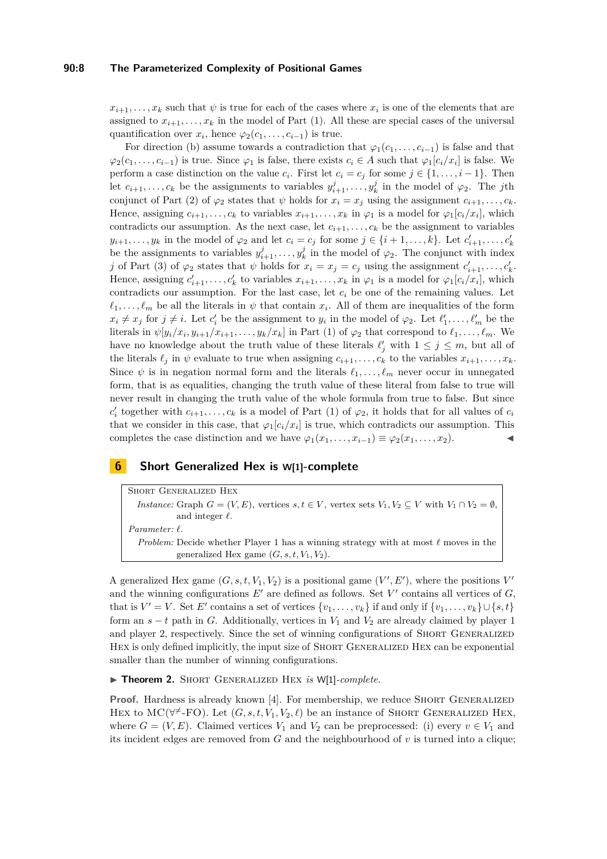## **90:8 The Parameterized Complexity of Positional Games**

 $x_{i+1}, \ldots, x_k$  such that  $\psi$  is true for each of the cases where  $x_i$  is one of the elements that are assigned to  $x_{i+1}, \ldots, x_k$  in the model of Part (1). All these are special cases of the universal quantification over  $x_i$ , hence  $\varphi_2(c_1, \ldots, c_{i-1})$  is true.

For direction (b) assume towards a contradiction that  $\varphi_1(c_1, \ldots, c_{i-1})$  is false and that  $\varphi_2(c_1, \ldots, c_{i-1})$  is true. Since  $\varphi_1$  is false, there exists  $c_i \in A$  such that  $\varphi_1[c_i/x_i]$  is false. We perform a case distinction on the value  $c_i$ . First let  $c_i = c_j$  for some  $j \in \{1, \ldots, i-1\}$ . Then let  $c_{i+1}, \ldots, c_k$  be the assignments to variables  $y_{i+1}^j, \ldots, y_k^j$  in the model of  $\varphi_2$ . The *j*th conjunct of Part (2) of  $\varphi_2$  states that  $\psi$  holds for  $x_i = x_j$  using the assignment  $c_{i+1}, \ldots, c_k$ . Hence, assigning  $c_{i+1}, \ldots, c_k$  to variables  $x_{i+1}, \ldots, x_k$  in  $\varphi_1$  is a model for  $\varphi_1[c_i/x_i]$ , which contradicts our assumption. As the next case, let  $c_{i+1}, \ldots, c_k$  be the assignment to variables *y*<sub>*i*+1</sub>*, . . . , y<sub>k</sub>* in the model of  $\varphi_2$  and let  $c_i = c_j$  for some  $j \in \{i+1, ..., k\}$ . Let  $c'_{i+1}, \ldots, c'_{k}$ be the assignments to variables  $y_{i+1}^j, \ldots, y_k^j$  in the model of  $\varphi_2$ . The conjunct with index *j* of Part (3) of  $\varphi_2$  states that  $\psi$  holds for  $x_i = x_j = c_j$  using the assignment  $c'_{i+1}, \ldots, c'_{k}$ . Hence, assigning  $c'_{i+1}, \ldots, c'_{k}$  to variables  $x_{i+1}, \ldots, x_{k}$  in  $\varphi_1$  is a model for  $\varphi_1[c_i/x_i]$ , which contradicts our assumption. For the last case, let *c<sup>i</sup>* be one of the remaining values. Let  $\ell_1, \ldots, \ell_m$  be all the literals in  $\psi$  that contain  $x_i$ . All of them are inequalities of the form  $x_i \neq x_j$  for  $j \neq i$ . Let  $c'_i$  be the assignment to  $y_i$  in the model of  $\varphi_2$ . Let  $\ell'_1, \ldots, \ell'_m$  be the literals in  $\psi[y_i/x_i, y_{i+1}/x_{i+1}, \ldots, y_k/x_k]$  in Part (1) of  $\varphi_2$  that correspond to  $\ell_1, \ldots, \ell_m$ . We have no knowledge about the truth value of these literals  $\ell'_j$  with  $1 \leq j \leq m$ , but all of the literals  $\ell_j$  in  $\psi$  evaluate to true when assigning  $c_{i+1}, \ldots, c_k$  to the variables  $x_{i+1}, \ldots, x_k$ . Since  $\psi$  is in negation normal form and the literals  $\ell_1, \ldots, \ell_m$  never occur in unnegated form, that is as equalities, changing the truth value of these literal from false to true will never result in changing the truth value of the whole formula from true to false. But since  $c'_i$  together with  $c_{i+1}, \ldots, c_k$  is a model of Part (1) of  $\varphi_2$ , it holds that for all values of  $c_i$ that we consider in this case, that  $\varphi_1[c_i/x_i]$  is true, which contradicts our assumption. This completes the case distinction and we have  $\varphi_1(x_1, \ldots, x_{i-1}) \equiv \varphi_2(x_1, \ldots, x_2)$ .

## **6 Short Generalized Hex is W[1]-complete**

Short Generalized Hex *Instance:* Graph  $G = (V, E)$ , vertices  $s, t \in V$ , vertex sets  $V_1, V_2 \subset V$  with  $V_1 \cap V_2 = \emptyset$ , and integer  $\ell$ . *Parameter: `*. *Problem:* Decide whether Player 1 has a winning strategy with at most  $\ell$  moves in the generalized Hex game  $(G, s, t, V_1, V_2)$ .

A generalized Hex game  $(G, s, t, V_1, V_2)$  is a positional game  $(V', E')$ , where the positions  $V'$ and the winning configurations  $E'$  are defined as follows. Set  $V'$  contains all vertices of  $G$ , that is  $V' = V$ . Set *E'* contains a set of vertices  $\{v_1, \ldots, v_k\}$  if and only if  $\{v_1, \ldots, v_k\} \cup \{s, t\}$ form an  $s - t$  path in *G*. Additionally, vertices in  $V_1$  and  $V_2$  are already claimed by player 1 and player 2, respectively. Since the set of winning configurations of SHORT GENERALIZED HEX is only defined implicitly, the input size of SHORT GENERALIZED HEX can be exponential smaller than the number of winning configurations.

▶ Theorem 2. SHORT GENERALIZED HEX *is* W[1]-*complete.* 

**Proof.** Hardness is already known [\[4\]](#page-12-4). For membership, we reduce SHORT GENERALIZED HEX to MC( $\forall^{\neq}$ -FO). Let  $(G, s, t, V_1, V_2, \ell)$  be an instance of SHORT GENERALIZED HEX, where  $G = (V, E)$ . Claimed vertices  $V_1$  and  $V_2$  can be preprocessed: (i) every  $v \in V_1$  and its incident edges are removed from *G* and the neighbourhood of *v* is turned into a clique;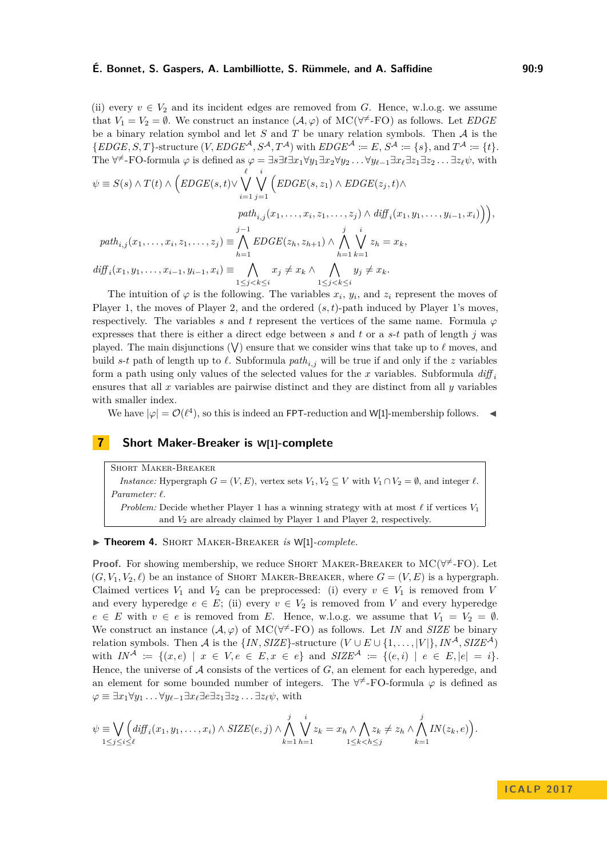## **É. Bonnet, S. Gaspers, A. Lambilliotte, S. Rümmele, and A. Saffidine 60:9** 90:9

(ii) every  $v \in V_2$  and its incident edges are removed from *G*. Hence, w.l.o.g. we assume that  $V_1 = V_2 = \emptyset$ . We construct an instance  $(\mathcal{A}, \varphi)$  of MC( $\forall^{\neq}$ -FO) as follows. Let *EDGE* be a binary relation symbol and let *S* and *T* be unary relation symbols. Then A is the  ${EDOE, S, T}$ -structure  $(V, EDGE^{\mathcal{A}}, S^{\mathcal{A}}, T^{\mathcal{A}})$  with  $EDGE^{\mathcal{A}} \coloneqq E, S^{\mathcal{A}} \coloneqq \{s\}, \text{and } T^{\mathcal{A}} \coloneqq \{t\}.$ The  $\forall^{\neq}$ -FO-formula  $\varphi$  is defined as  $\varphi = \exists s \exists t \exists x_1 \forall y_1 \exists x_2 \forall y_2 \dots \forall y_{\ell-1} \exists x_{\ell} \exists z_1 \exists z_2 \dots \exists z_{\ell} \psi$ , with

$$
\psi \equiv S(s) \land T(t) \land \left(EDGE(s,t) \lor \bigvee_{i=1}^{\ell} \bigvee_{j=1}^{i} \left( EDGE(s,z_1) \land EDGE(z_j,t) \land \right) \npath_{i,j}(x_1,\ldots,x_i,z_1,\ldots,z_j) \land diff_i(x_1,y_1,\ldots,y_{i-1},x_i)\right)\right),
$$
\n
$$
path_{i,j}(x_1,\ldots,x_i,z_1,\ldots,z_j) \equiv \bigwedge_{h=1}^{j-1} EDGE(z_h,z_{h+1}) \land \bigwedge_{h=1}^{j} \bigvee_{k=1}^{i} z_h = x_k,
$$
\n
$$
diff_i(x_1,y_1,\ldots,x_{i-1},y_{i-1},x_i) \equiv \bigwedge_{1 \leq j < k \leq i} x_j \neq x_k \land \bigwedge_{1 \leq j < k \leq i} y_j \neq x_k.
$$

The intuition of  $\varphi$  is the following. The variables  $x_i$ ,  $y_i$ , and  $z_i$  represent the moves of Player 1, the moves of Player 2, and the ordered  $(s, t)$ -path induced by Player 1's moves, respectively. The variables *s* and *t* represent the vertices of the same name. Formula  $\varphi$ expresses that there is either a direct edge between *s* and *t* or a *s*-*t* path of length *j* was played. The main disjunctions  $(V)$  ensure that we consider wins that take up to  $\ell$  moves, and build *s*-*t* path of length up to  $\ell$ . Subformula *path*<sub>*i,j*</sub> will be true if and only if the *z* variables form a path using only values of the selected values for the x variables. Subformula  $diff_i$ ensures that all *x* variables are pairwise distinct and they are distinct from all *y* variables with smaller index.

We have  $|\varphi| = \mathcal{O}(\ell^4)$ , so this is indeed an FPT-reduction and W[1]-membership follows.

## **7 Short Maker-Breaker is W[1]-complete**

Short Maker-Breaker *Instance:* Hypergraph  $G = (V, E)$ , vertex sets  $V_1, V_2 \subseteq V$  with  $V_1 \cap V_2 = \emptyset$ , and integer  $\ell$ . *Parameter: `*. *Problem:* Decide whether Player 1 has a winning strategy with at most  $\ell$  if vertices  $V_1$ and *V*<sup>2</sup> are already claimed by Player 1 and Player 2, respectively.

## I **Theorem 4.** Short Maker-Breaker *is* W[1]*-complete.*

**Proof.** For showing membership, we reduce SHORT MAKER-BREAKER to  $MC(\forall^{\neq} - FO)$ . Let  $(G, V_1, V_2, \ell)$  be an instance of SHORT MAKER-BREAKER, where  $G = (V, E)$  is a hypergraph. Claimed vertices  $V_1$  and  $V_2$  can be preprocessed: (i) every  $v \in V_1$  is removed from V and every hyperedge  $e \in E$ ; (ii) every  $v \in V_2$  is removed from V and every hyperedge  $e \in E$  with  $v \in e$  is removed from *E*. Hence, w.l.o.g. we assume that  $V_1 = V_2 = \emptyset$ . We construct an instance  $(A, \varphi)$  of MC( $\forall^{\neq}$ -FO) as follows. Let *IN* and *SIZE* be binary relation symbols. Then A is the  $\{IN, SIZE\}$ -structure  $(V \cup E \cup \{1, ..., |V|\}, IN^{\mathcal{A}}, SIZE^{\mathcal{A}})$ with  $IN^A := \{(x, e) | x \in V, e \in E, x \in e\}$  and  $SIZE^A := \{(e, i) | e \in E, |e| = i\}.$ Hence, the universe of A consists of the vertices of *G*, an element for each hyperedge, and an element for some bounded number of integers. The  $\forall^{\neq}$ -FO-formula  $\varphi$  is defined as  $\varphi \equiv \exists x_1 \forall y_1 \ldots \forall y_{\ell-1} \exists x_{\ell} \exists e \exists z_1 \exists z_2 \ldots \exists z_{\ell} \psi$ , with

$$
\psi \equiv \bigvee_{1 \leq j \leq i \leq \ell} \left( \text{diff}_i(x_1, y_1, \dots, x_i) \wedge \text{SIZE}(e, j) \wedge \bigwedge_{k=1}^j \bigvee_{h=1}^i z_k = x_h \wedge \bigwedge_{1 \leq k < h \leq j} z_k \neq z_h \wedge \bigwedge_{k=1}^j IN(z_k, e) \right).
$$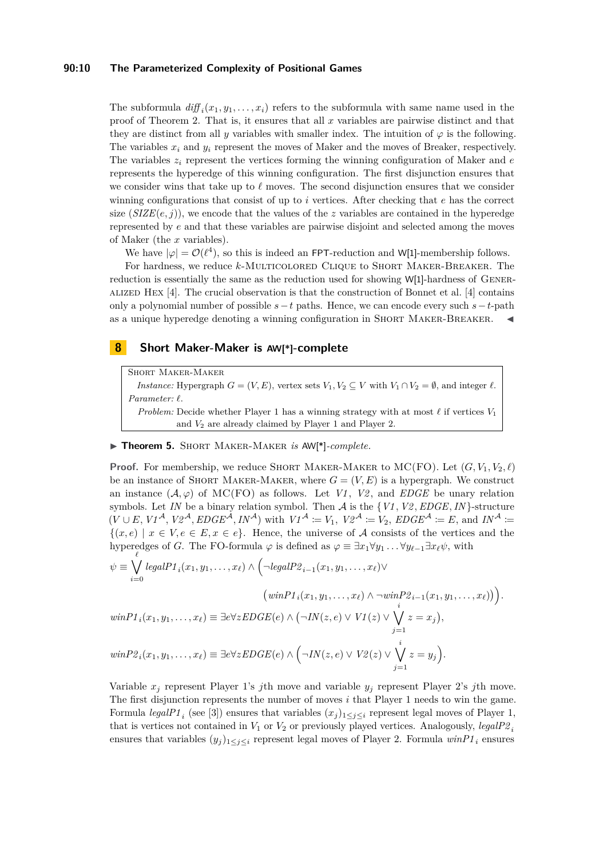## **90:10 The Parameterized Complexity of Positional Games**

The subformula  $diff_i(x_1, y_1, \ldots, x_i)$  refers to the subformula with same name used in the proof of Theorem [2.](#page-3-0) That is, it ensures that all *x* variables are pairwise distinct and that they are distinct from all *y* variables with smaller index. The intuition of  $\varphi$  is the following. The variables  $x_i$  and  $y_i$  represent the moves of Maker and the moves of Breaker, respectively. The variables *z<sup>i</sup>* represent the vertices forming the winning configuration of Maker and *e* represents the hyperedge of this winning configuration. The first disjunction ensures that we consider wins that take up to  $\ell$  moves. The second disjunction ensures that we consider winning configurations that consist of up to *i* vertices. After checking that *e* has the correct size  $(SIZE(e, j))$ , we encode that the values of the *z* variables are contained in the hyperedge represented by *e* and that these variables are pairwise disjoint and selected among the moves of Maker (the *x* variables).

We have  $|\varphi| = \mathcal{O}(\ell^4)$ , so this is indeed an FPT-reduction and W[1]-membership follows.

For hardness, we reduce *k*-Multicolored Clique to Short Maker-Breaker. The reduction is essentially the same as the reduction used for showing W[1]-hardness of Gener-ALIZED HEX  $[4]$ . The crucial observation is that the construction of Bonnet et al.  $[4]$  contains only a polynomial number of possible *s*−*t* paths. Hence, we can encode every such *s*−*t*-path as a unique hyperedge denoting a winning configuration in SHORT MAKER-BREAKER.

## **8 Short Maker-Maker is AW[\*]-complete**

Short Maker-Maker

*Instance:* Hypergraph  $G = (V, E)$ , vertex sets  $V_1, V_2 \subseteq V$  with  $V_1 \cap V_2 = \emptyset$ , and integer  $\ell$ .  $Parameter: \ell$ .

*Problem:* Decide whether Player 1 has a winning strategy with at most  $\ell$  if vertices  $V_1$ and *V*<sup>2</sup> are already claimed by Player 1 and Player 2.

#### ▶ Theorem 5. SHORT MAKER-MAKER *is* AW[<sup>\*</sup>]-complete.

**Proof.** For membership, we reduce SHORT MAKER-MAKER to MC(FO). Let  $(G, V_1, V_2, \ell)$ be an instance of SHORT MAKER-MAKER, where  $G = (V, E)$  is a hypergraph. We construct an instance  $(\mathcal{A}, \varphi)$  of MC(FO) as follows. Let *V1*, *V2*, and *EDGE* be unary relation symbols. Let *IN* be a binary relation symbol. Then  $A$  is the  $\{VI, V2, EDGE, IN\}$ -structure  $(V \cup E, VI^{\mathcal{A}}, V2^{\mathcal{A}}, EDGE^{\mathcal{A}}, IN^{\mathcal{A}})$  with  $VI^{\mathcal{A}} := V_1$ ,  $V2^{\mathcal{A}} := V_2$ ,  $EDGE^{\mathcal{A}} := E$ , and  $IN^{\mathcal{A}} :=$  ${(x, e) | x \in V, e \in E, x \in e}.$  Hence, the universe of A consists of the vertices and the hyperedges of *G*. The FO-formula  $\varphi$  is defined as  $\varphi \equiv \exists x_1 \forall y_1 \dots \forall y_{\ell-1} \exists x_{\ell} \psi$ , with

$$
\psi \equiv \bigvee_{i=0}^{\ell} \operatorname{legalP1}_{i}(x_{1}, y_{1}, \ldots, x_{\ell}) \land \left(\neg \operatorname{legalP2}_{i-1}(x_{1}, y_{1}, \ldots, x_{\ell}) \lor \right)
$$

$$
\left(\operatorname{winP1}_{i}(x_{1}, y_{1}, \ldots, x_{\ell}) \land \neg \operatorname{winP2}_{i-1}(x_{1}, y_{1}, \ldots, x_{\ell})\right)\right).
$$

$$
\operatorname{winP1}_{i}(x_{1}, y_{1}, \ldots, x_{\ell}) \equiv \exists e \forall z \operatorname{EDGE}(e) \land \left(\neg \operatorname{IN}(z, e) \lor \operatorname{VI}(z) \lor \bigvee_{j=1}^{i} z = x_{j}\right),
$$

$$
\operatorname{winP2}_{i}(x_{1}, y_{1}, \ldots, x_{\ell}) \equiv \exists e \forall z \operatorname{EDGE}(e) \land \left(\neg \operatorname{IN}(z, e) \lor \operatorname{V2}(z) \lor \bigvee_{j=1}^{i} z = y_{j}\right).
$$

Variable  $x_j$  represent Player 1's *j*th move and variable  $y_j$  represent Player 2's *j*th move. The first disjunction represents the number of moves *i* that Player 1 needs to win the game. Formula *legalP1*<sub>*i*</sub> (see [\[3\]](#page-12-14)) ensures that variables  $(x_j)_{1 \leq j \leq i}$  represent legal moves of Player 1, that is vertices not contained in  $V_1$  or  $V_2$  or previously played vertices. Analogously, *legalP2* ensures that variables  $(y_j)_{1 \leq j \leq i}$  represent legal moves of Player 2. Formula  $winPI_i$  ensures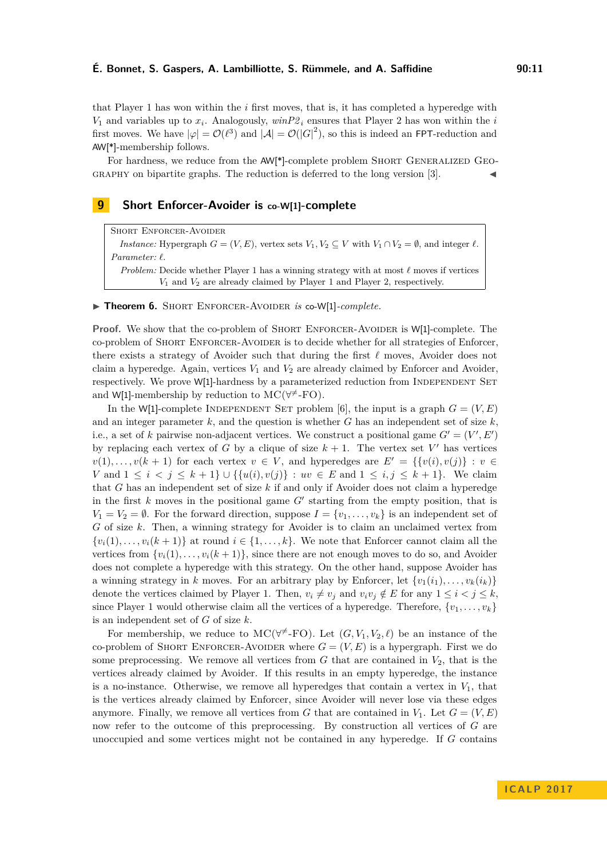that Player 1 has won within the *i* first moves, that is, it has completed a hyperedge with  $V_1$  and variables up to  $x_i$ . Analogously,  $winP2_i$  ensures that Player 2 has won within the *i* first moves. We have  $|\varphi| = \mathcal{O}(\ell^3)$  and  $|\mathcal{A}| = \mathcal{O}(|G|^2)$ , so this is indeed an FPT-reduction and AW[\*]-membership follows.

For hardness, we reduce from the AW[\*]-complete problem SHORT GENERALIZED GEO- $GRAPHY$  on bipartite graphs. The reduction is deferred to the long version [\[3\]](#page-12-14).

## **9 Short Enforcer-Avoider is co-W[1]-complete**

Short Enforcer-Avoider *Instance:* Hypergraph  $G = (V, E)$ , vertex sets  $V_1, V_2 \subseteq V$  with  $V_1 \cap V_2 = \emptyset$ , and integer  $\ell$ . *Parameter:*  $\ell$ . *Problem:* Decide whether Player 1 has a winning strategy with at most  $\ell$  moves if vertices *V*<sup>1</sup> and *V*<sup>2</sup> are already claimed by Player 1 and Player 2, respectively.

▶ Theorem 6. SHORT ENFORCER-AVOIDER *is* co-W[1]-*complete.* 

**Proof.** We show that the co-problem of SHORT ENFORCER-AVOIDER is W[1]-complete. The co-problem of Short Enforcer-Avoider is to decide whether for all strategies of Enforcer, there exists a strategy of Avoider such that during the first  $\ell$  moves, Avoider does not claim a hyperedge. Again, vertices *V*<sup>1</sup> and *V*<sup>2</sup> are already claimed by Enforcer and Avoider, respectively. We prove W[1]-hardness by a parameterized reduction from INDEPENDENT SET and W[1]-membership by reduction to  $MC(\forall^{\neq}$ -FO).

In the W[1]-complete INDEPENDENT SET problem [\[6\]](#page-12-11), the input is a graph  $G = (V, E)$ and an integer parameter  $k$ , and the question is whether  $G$  has an independent set of size  $k$ . i.e., a set of *k* pairwise non-adjacent vertices. We construct a positional game  $G' = (V', E')$ by replacing each vertex of *G* by a clique of size  $k + 1$ . The vertex set *V*<sup>'</sup> has vertices  $v(1), \ldots, v(k + 1)$  for each vertex  $v \in V$ , and hyperedges are  $E' = \{v(i), v(j)\} : v \in V$ *V* and  $1 \le i \le j \le k+1$ } ∪ {{ $u(i), v(j)$ } :  $uv \in E$  and  $1 \le i, j \le k+1$ }. We claim that *G* has an independent set of size *k* if and only if Avoider does not claim a hyperedge in the first  $k$  moves in the positional game  $G'$  starting from the empty position, that is  $V_1 = V_2 = \emptyset$ . For the forward direction, suppose  $I = \{v_1, \ldots, v_k\}$  is an independent set of *G* of size *k*. Then, a winning strategy for Avoider is to claim an unclaimed vertex from  $\{v_i(1), \ldots, v_i(k+1)\}\$ at round  $i \in \{1, \ldots, k\}$ . We note that Enforcer cannot claim all the vertices from  $\{v_i(1), \ldots, v_i(k+1)\}\)$ , since there are not enough moves to do so, and Avoider does not complete a hyperedge with this strategy. On the other hand, suppose Avoider has a winning strategy in *k* moves. For an arbitrary play by Enforcer, let  $\{v_1(i_1), \ldots, v_k(i_k)\}\$ denote the vertices claimed by Player 1. Then,  $v_i \neq v_j$  and  $v_i v_j \notin E$  for any  $1 \leq i \leq j \leq k$ . since Player 1 would otherwise claim all the vertices of a hyperedge. Therefore,  $\{v_1, \ldots, v_k\}$ is an independent set of *G* of size *k*.

For membership, we reduce to  $MC(\forall^{\neq} - FO)$ . Let  $(G, V_1, V_2, \ell)$  be an instance of the co-problem of SHORT ENFORCER-AVOIDER where  $G = (V, E)$  is a hypergraph. First we do some preprocessing. We remove all vertices from  $G$  that are contained in  $V_2$ , that is the vertices already claimed by Avoider. If this results in an empty hyperedge, the instance is a no-instance. Otherwise, we remove all hyperedges that contain a vertex in  $V_1$ , that is the vertices already claimed by Enforcer, since Avoider will never lose via these edges anymore. Finally, we remove all vertices from *G* that are contained in  $V_1$ . Let  $G = (V, E)$ now refer to the outcome of this preprocessing. By construction all vertices of *G* are unoccupied and some vertices might not be contained in any hyperedge. If *G* contains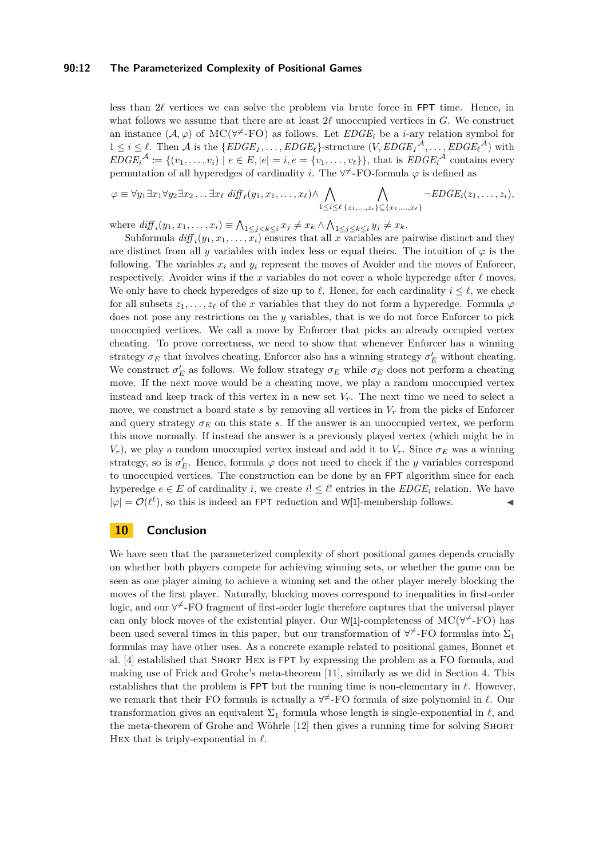#### **90:12 The Parameterized Complexity of Positional Games**

less than  $2\ell$  vertices we can solve the problem via brute force in FPT time. Hence, in what follows we assume that there are at least  $2\ell$  unoccupied vertices in  $G$ . We construct an instance  $(A, \varphi)$  of MC( $\forall^{\neq}$ -FO) as follows. Let  $EDGE_i$  be a *i*-ary relation symbol for  $1 \leq i \leq \ell$ . Then A is the  $\{EDGE_1, \ldots, EDGE_{\ell}\}$ -structure  $(V, EDGE_1^{\mathcal{A}}, \ldots, EDGE_{\ell}^{\mathcal{A}})$  with  $EDGE_i^{\mathcal{A}} \coloneqq \{(v_1, \ldots, v_i) \mid e \in E, |e| = i, e = \{v_1, \ldots, v_\ell\}\},\$  that is  $EDGE_i^{\mathcal{A}}$  contains every permutation of all hyperedges of cardinality *i*. The  $\forall^{\neq}$ -FO-formula  $\varphi$  is defined as

$$
\varphi \equiv \forall y_1 \exists x_1 \forall y_2 \exists x_2 \dots \exists x_\ell \ \text{diff}_{\ell}(y_1, x_1, \dots, x_\ell) \land \bigwedge_{1 \leq i \leq \ell} \bigwedge_{\{z_1, \dots, z_i\} \subseteq \{x_1, \dots, x_\ell\}} \neg EDGE_i(z_1, \dots, z_i),
$$

where  $\text{diff}_i(y_1, x_1, \dots, x_i) \equiv \bigwedge_{1 \leq j < k \leq i} x_j \neq x_k \wedge \bigwedge_{1 \leq j \leq k \leq i} y_j \neq x_k$ .

Subformula  $diff_i(y_1, x_1, \ldots, x_i)$  ensures that all *x* variables are pairwise distinct and they are distinct from all *y* variables with index less or equal theirs. The intuition of  $\varphi$  is the following. The variables  $x_i$  and  $y_i$  represent the moves of Avoider and the moves of Enforcer, respectively. Avoider wins if the *x* variables do not cover a whole hyperedge after  $\ell$  moves. We only have to check hyperedges of size up to  $\ell$ . Hence, for each cardinality  $i \leq \ell$ , we check for all subsets  $z_1, \ldots, z_\ell$  of the *x* variables that they do not form a hyperedge. Formula  $\varphi$ does not pose any restrictions on the *y* variables, that is we do not force Enforcer to pick unoccupied vertices. We call a move by Enforcer that picks an already occupied vertex cheating. To prove correctness, we need to show that whenever Enforcer has a winning strategy  $\sigma_E$  that involves cheating, Enforcer also has a winning strategy  $\sigma_E'$  without cheating. We construct  $\sigma_E'$  as follows. We follow strategy  $\sigma_E$  while  $\sigma_E$  does not perform a cheating move. If the next move would be a cheating move, we play a random unoccupied vertex instead and keep track of this vertex in a new set  $V_r$ . The next time we need to select a move, we construct a board state  $s$  by removing all vertices in  $V_r$  from the picks of Enforcer and query strategy  $\sigma_E$  on this state *s*. If the answer is an unoccupied vertex, we perform this move normally. If instead the answer is a previously played vertex (which might be in *V<sub>r</sub>*), we play a random unoccupied vertex instead and add it to *V<sub>r</sub>*. Since  $\sigma_E$  was a winning strategy, so is  $\sigma_E'$ . Hence, formula  $\varphi$  does not need to check if the *y* variables correspond to unoccupied vertices. The construction can be done by an FPT algorithm since for each hyperedge  $e \in E$  of cardinality *i*, we create  $i! \leq \ell!$  entries in the *EDGE<sub>i</sub>* relation. We have  $|\varphi| = \mathcal{O}(\ell^{\ell})$ , so this is indeed an FPT reduction and W[1]-membership follows.

## **10 Conclusion**

We have seen that the parameterized complexity of short positional games depends crucially on whether both players compete for achieving winning sets, or whether the game can be seen as one player aiming to achieve a winning set and the other player merely blocking the moves of the first player. Naturally, blocking moves correspond to inequalities in first-order logic, and our  $\forall^{\neq}$ -FO fragment of first-order logic therefore captures that the universal player can only block moves of the existential player. Our W[1]-completeness of  $MC(\forall^{\neq}$ -FO) has been used several times in this paper, but our transformation of  $\forall^{\neq}$ -FO formulas into  $\Sigma_1$ formulas may have other uses. As a concrete example related to positional games, Bonnet et al. [\[4\]](#page-12-4) established that Short Hex is FPT by expressing the problem as a FO formula, and making use of Frick and Grohe's meta-theorem [\[11\]](#page-12-16), similarly as we did in Section [4.](#page-4-0) This establishes that the problem is  $FPT$  but the running time is non-elementary in  $\ell$ . However, we remark that their FO formula is actually a  $\forall^{\neq}$ -FO formula of size polynomial in  $\ell$ . Our transformation gives an equivalent  $\Sigma_1$  formula whose length is single-exponential in  $\ell$ , and the meta-theorem of Grohe and Wöhrle [\[12\]](#page-12-17) then gives a running time for solving Short Hex that is triply-exponential in  $\ell$ .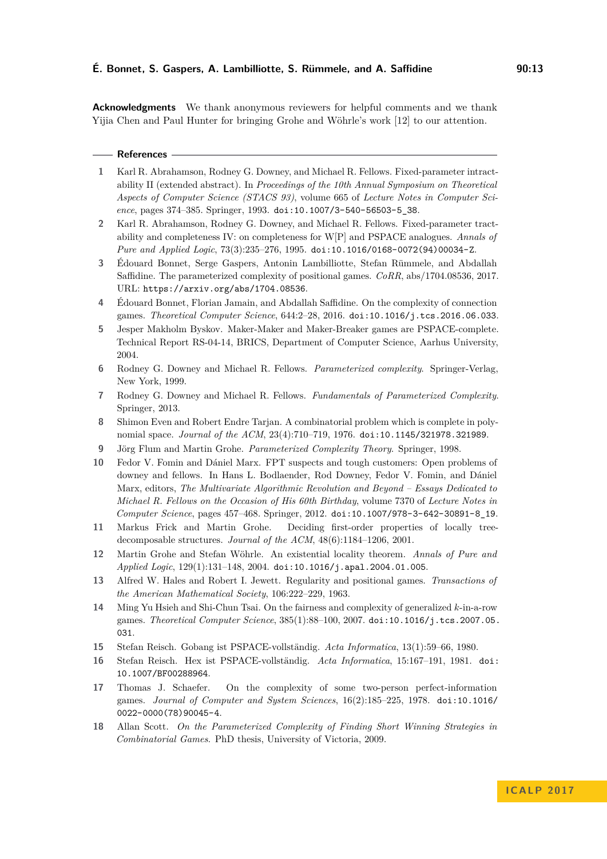**Acknowledgments** We thank anonymous reviewers for helpful comments and we thank Yijia Chen and Paul Hunter for bringing Grohe and Wöhrle's work [\[12\]](#page-12-17) to our attention.

#### **References**

- <span id="page-12-6"></span>**1** Karl R. Abrahamson, Rodney G. Downey, and Michael R. Fellows. Fixed-parameter intractability II (extended abstract). In *Proceedings of the 10th Annual Symposium on Theoretical Aspects of Computer Science (STACS 93)*, volume 665 of *Lecture Notes in Computer Science*, pages 374–385. Springer, 1993. [doi:10.1007/3-540-56503-5\\_38](http://dx.doi.org/10.1007/3-540-56503-5_38).
- <span id="page-12-7"></span>**2** Karl R. Abrahamson, Rodney G. Downey, and Michael R. Fellows. Fixed-parameter tractability and completeness IV: on completeness for W[P] and PSPACE analogues. *Annals of Pure and Applied Logic*, 73(3):235–276, 1995. [doi:10.1016/0168-0072\(94\)00034-Z](http://dx.doi.org/10.1016/0168-0072(94)00034-Z).
- <span id="page-12-14"></span>**3** Édouard Bonnet, Serge Gaspers, Antonin Lambilliotte, Stefan Rümmele, and Abdallah Saffidine. The parameterized complexity of positional games. *CoRR*, abs/1704.08536, 2017. URL: <https://arxiv.org/abs/1704.08536>.
- <span id="page-12-4"></span>**4** Édouard Bonnet, Florian Jamain, and Abdallah Saffidine. On the complexity of connection games. *Theoretical Computer Science*, 644:2–28, 2016. [doi:10.1016/j.tcs.2016.06.033](http://dx.doi.org/10.1016/j.tcs.2016.06.033).
- <span id="page-12-9"></span>**5** Jesper Makholm Byskov. Maker-Maker and Maker-Breaker games are PSPACE-complete. Technical Report RS-04-14, BRICS, Department of Computer Science, Aarhus University, 2004.
- <span id="page-12-11"></span>**6** Rodney G. Downey and Michael R. Fellows. *Parameterized complexity*. Springer-Verlag, New York, 1999.
- <span id="page-12-10"></span>**7** Rodney G. Downey and Michael R. Fellows. *Fundamentals of Parameterized Complexity*. Springer, 2013.
- <span id="page-12-1"></span>**8** Shimon Even and Robert Endre Tarjan. A combinatorial problem which is complete in polynomial space. *Journal of the ACM*, 23(4):710–719, 1976. [doi:10.1145/321978.321989](http://dx.doi.org/10.1145/321978.321989).
- <span id="page-12-15"></span>**9** Jörg Flum and Martin Grohe. *Parameterized Complexity Theory*. Springer, 1998.
- <span id="page-12-12"></span>**10** Fedor V. Fomin and Dániel Marx. FPT suspects and tough customers: Open problems of downey and fellows. In Hans L. Bodlaender, Rod Downey, Fedor V. Fomin, and Dániel Marx, editors, *The Multivariate Algorithmic Revolution and Beyond – Essays Dedicated to Michael R. Fellows on the Occasion of His 60th Birthday*, volume 7370 of *Lecture Notes in Computer Science*, pages 457–468. Springer, 2012. [doi:10.1007/978-3-642-30891-8\\_19](http://dx.doi.org/10.1007/978-3-642-30891-8_19).
- <span id="page-12-16"></span>**11** Markus Frick and Martin Grohe. Deciding first-order properties of locally treedecomposable structures. *Journal of the ACM*, 48(6):1184–1206, 2001.
- <span id="page-12-17"></span>**12** Martin Grohe and Stefan Wöhrle. An existential locality theorem. *Annals of Pure and Applied Logic*, 129(1):131–148, 2004. [doi:10.1016/j.apal.2004.01.005](http://dx.doi.org/10.1016/j.apal.2004.01.005).
- <span id="page-12-0"></span>**13** Alfred W. Hales and Robert I. Jewett. Regularity and positional games. *Transactions of the American Mathematical Society*, 106:222–229, 1963.
- <span id="page-12-5"></span>**14** Ming Yu Hsieh and Shi-Chun Tsai. On the fairness and complexity of generalized *k*-in-a-row games. *Theoretical Computer Science*, 385(1):88–100, 2007. [doi:10.1016/j.tcs.2007.05.](http://dx.doi.org/10.1016/j.tcs.2007.05.031) [031](http://dx.doi.org/10.1016/j.tcs.2007.05.031).
- <span id="page-12-2"></span>**15** Stefan Reisch. Gobang ist PSPACE-vollständig. *Acta Informatica*, 13(1):59–66, 1980.
- <span id="page-12-3"></span>**16** Stefan Reisch. Hex ist PSPACE-vollständig. *Acta Informatica*, 15:167–191, 1981. [doi:](http://dx.doi.org/10.1007/BF00288964) [10.1007/BF00288964](http://dx.doi.org/10.1007/BF00288964).
- <span id="page-12-8"></span>**17** Thomas J. Schaefer. On the complexity of some two-person perfect-information games. *Journal of Computer and System Sciences*, 16(2):185–225, 1978. [doi:10.1016/](http://dx.doi.org/10.1016/0022-0000(78)90045-4) [0022-0000\(78\)90045-4](http://dx.doi.org/10.1016/0022-0000(78)90045-4).
- <span id="page-12-13"></span>**18** Allan Scott. *On the Parameterized Complexity of Finding Short Winning Strategies in Combinatorial Games*. PhD thesis, University of Victoria, 2009.